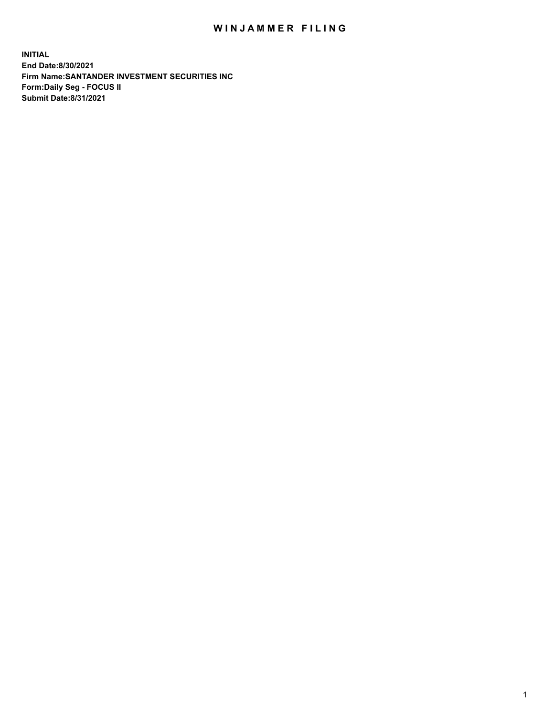## WIN JAMMER FILING

**INITIAL End Date:8/30/2021 Firm Name:SANTANDER INVESTMENT SECURITIES INC Form:Daily Seg - FOCUS II Submit Date:8/31/2021**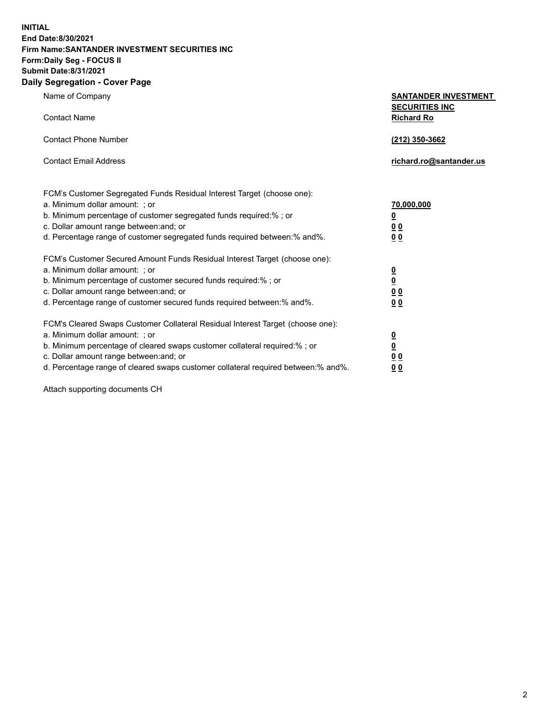**INITIAL End Date:8/30/2021 Firm Name:SANTANDER INVESTMENT SECURITIES INC Form:Daily Seg - FOCUS II Submit Date:8/31/2021 Daily Segregation - Cover Page**

| $0091090001 - 00101 + 090$                                                        |                                            |
|-----------------------------------------------------------------------------------|--------------------------------------------|
| Name of Company                                                                   | <b>SANTANDER INVESTMENT</b>                |
| <b>Contact Name</b>                                                               | <b>SECURITIES INC</b><br><b>Richard Ro</b> |
| <b>Contact Phone Number</b>                                                       | (212) 350-3662                             |
| <b>Contact Email Address</b>                                                      | richard.ro@santander.us                    |
| FCM's Customer Segregated Funds Residual Interest Target (choose one):            |                                            |
| a. Minimum dollar amount: ; or                                                    | 70,000,000                                 |
| b. Minimum percentage of customer segregated funds required:%; or                 | $\overline{\mathbf{0}}$                    |
| c. Dollar amount range between: and; or                                           | 0 <sub>0</sub>                             |
| d. Percentage range of customer segregated funds required between: % and %.       | 0 <sub>0</sub>                             |
| FCM's Customer Secured Amount Funds Residual Interest Target (choose one):        |                                            |
| a. Minimum dollar amount: ; or                                                    | $\overline{\mathbf{0}}$                    |
| b. Minimum percentage of customer secured funds required:%; or                    | $\underline{\mathbf{0}}$                   |
| c. Dollar amount range between: and; or                                           | 0 <sub>0</sub>                             |
| d. Percentage range of customer secured funds required between: % and %.          | 0 <sub>0</sub>                             |
| FCM's Cleared Swaps Customer Collateral Residual Interest Target (choose one):    |                                            |
| a. Minimum dollar amount: ; or                                                    | $\overline{\mathbf{0}}$                    |
| b. Minimum percentage of cleared swaps customer collateral required:%; or         | $\underline{\mathbf{0}}$                   |
| c. Dollar amount range between: and; or                                           | 0 <sub>0</sub>                             |
| d. Percentage range of cleared swaps customer collateral required between:% and%. | 00                                         |

Attach supporting documents CH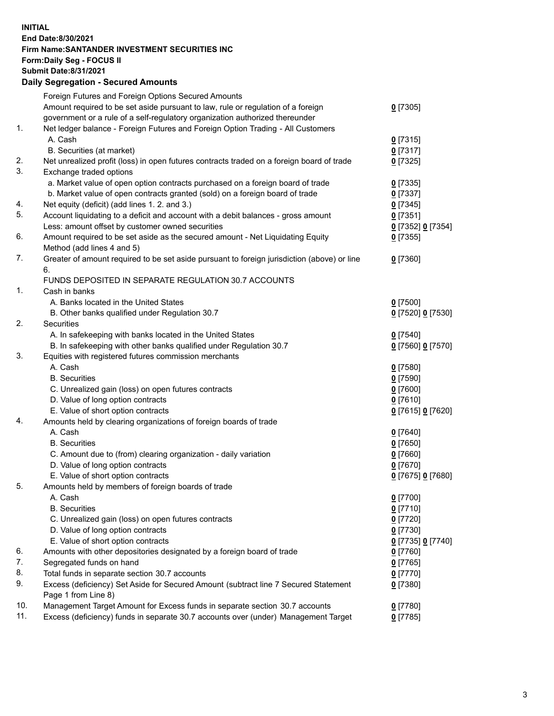**INITIAL End Date:8/30/2021 Firm Name:SANTANDER INVESTMENT SECURITIES INC Form:Daily Seg - FOCUS II Submit Date:8/31/2021 Daily Segregation - Secured Amounts**

|     | Foreign Futures and Foreign Options Secured Amounts                                         |                   |
|-----|---------------------------------------------------------------------------------------------|-------------------|
|     | Amount required to be set aside pursuant to law, rule or regulation of a foreign            | $0$ [7305]        |
|     | government or a rule of a self-regulatory organization authorized thereunder                |                   |
| 1.  | Net ledger balance - Foreign Futures and Foreign Option Trading - All Customers             |                   |
|     | A. Cash                                                                                     | $0$ [7315]        |
|     | B. Securities (at market)                                                                   | $0$ [7317]        |
| 2.  | Net unrealized profit (loss) in open futures contracts traded on a foreign board of trade   | $0$ [7325]        |
| 3.  | Exchange traded options                                                                     |                   |
|     | a. Market value of open option contracts purchased on a foreign board of trade              | $0$ [7335]        |
|     | b. Market value of open contracts granted (sold) on a foreign board of trade                | $0$ [7337]        |
| 4.  | Net equity (deficit) (add lines 1. 2. and 3.)                                               | $0$ [7345]        |
| 5.  | Account liquidating to a deficit and account with a debit balances - gross amount           | $0$ [7351]        |
|     | Less: amount offset by customer owned securities                                            | 0 [7352] 0 [7354] |
| 6.  | Amount required to be set aside as the secured amount - Net Liquidating Equity              | $0$ [7355]        |
|     | Method (add lines 4 and 5)                                                                  |                   |
| 7.  | Greater of amount required to be set aside pursuant to foreign jurisdiction (above) or line | $0$ [7360]        |
|     | 6.                                                                                          |                   |
|     | FUNDS DEPOSITED IN SEPARATE REGULATION 30.7 ACCOUNTS                                        |                   |
| 1.  | Cash in banks                                                                               |                   |
|     | A. Banks located in the United States                                                       | $0$ [7500]        |
|     | B. Other banks qualified under Regulation 30.7                                              | 0 [7520] 0 [7530] |
| 2.  | Securities                                                                                  |                   |
|     | A. In safekeeping with banks located in the United States                                   | $0$ [7540]        |
|     | B. In safekeeping with other banks qualified under Regulation 30.7                          | 0 [7560] 0 [7570] |
| 3.  | Equities with registered futures commission merchants                                       |                   |
|     | A. Cash                                                                                     | $0$ [7580]        |
|     | <b>B.</b> Securities                                                                        | $0$ [7590]        |
|     | C. Unrealized gain (loss) on open futures contracts                                         | $0$ [7600]        |
|     | D. Value of long option contracts                                                           | $0$ [7610]        |
|     | E. Value of short option contracts                                                          | 0 [7615] 0 [7620] |
| 4.  | Amounts held by clearing organizations of foreign boards of trade                           |                   |
|     | A. Cash                                                                                     | $0$ [7640]        |
|     | <b>B.</b> Securities                                                                        | $0$ [7650]        |
|     | C. Amount due to (from) clearing organization - daily variation                             | $0$ [7660]        |
|     | D. Value of long option contracts                                                           | $0$ [7670]        |
|     | E. Value of short option contracts                                                          | 0 [7675] 0 [7680] |
| 5.  | Amounts held by members of foreign boards of trade                                          |                   |
|     | A. Cash                                                                                     | $0$ [7700]        |
|     | <b>B.</b> Securities                                                                        | $0$ [7710]        |
|     | C. Unrealized gain (loss) on open futures contracts                                         | $0$ [7720]        |
|     | D. Value of long option contracts                                                           | $0$ [7730]        |
|     | E. Value of short option contracts                                                          | 0 [7735] 0 [7740] |
| 6.  | Amounts with other depositories designated by a foreign board of trade                      | 0 [7760]          |
| 7.  | Segregated funds on hand                                                                    | $0$ [7765]        |
| 8.  | Total funds in separate section 30.7 accounts                                               | $0$ [7770]        |
| 9.  | Excess (deficiency) Set Aside for Secured Amount (subtract line 7 Secured Statement         | $0$ [7380]        |
|     | Page 1 from Line 8)                                                                         |                   |
| 10. | Management Target Amount for Excess funds in separate section 30.7 accounts                 | $0$ [7780]        |
| 11. | Excess (deficiency) funds in separate 30.7 accounts over (under) Management Target          | $0$ [7785]        |
|     |                                                                                             |                   |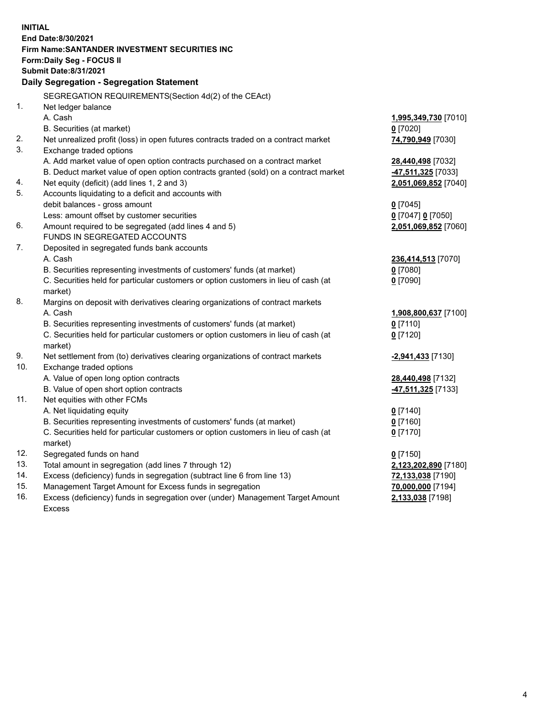| <b>INITIAL</b> |                                                                                           |                      |  |  |  |  |
|----------------|-------------------------------------------------------------------------------------------|----------------------|--|--|--|--|
|                | End Date:8/30/2021                                                                        |                      |  |  |  |  |
|                | Firm Name: SANTANDER INVESTMENT SECURITIES INC                                            |                      |  |  |  |  |
|                | Form: Daily Seg - FOCUS II                                                                |                      |  |  |  |  |
|                | <b>Submit Date:8/31/2021</b>                                                              |                      |  |  |  |  |
|                | Daily Segregation - Segregation Statement                                                 |                      |  |  |  |  |
|                | SEGREGATION REQUIREMENTS(Section 4d(2) of the CEAct)                                      |                      |  |  |  |  |
| 1.             | Net ledger balance                                                                        |                      |  |  |  |  |
|                | A. Cash                                                                                   | 1,995,349,730 [7010] |  |  |  |  |
|                | B. Securities (at market)                                                                 | $0$ [7020]           |  |  |  |  |
| 2.             | Net unrealized profit (loss) in open futures contracts traded on a contract market        | 74,790,949 [7030]    |  |  |  |  |
| 3.             | Exchange traded options                                                                   |                      |  |  |  |  |
|                | A. Add market value of open option contracts purchased on a contract market               | 28,440,498 [7032]    |  |  |  |  |
|                | B. Deduct market value of open option contracts granted (sold) on a contract market       | 47,511,325 [7033]    |  |  |  |  |
| 4.             | Net equity (deficit) (add lines 1, 2 and 3)                                               | 2,051,069,852 [7040] |  |  |  |  |
| 5.             | Accounts liquidating to a deficit and accounts with                                       |                      |  |  |  |  |
|                | debit balances - gross amount                                                             | $0$ [7045]           |  |  |  |  |
|                | Less: amount offset by customer securities                                                | 0 [7047] 0 [7050]    |  |  |  |  |
| 6.             | Amount required to be segregated (add lines 4 and 5)                                      | 2,051,069,852 [7060] |  |  |  |  |
|                | FUNDS IN SEGREGATED ACCOUNTS                                                              |                      |  |  |  |  |
| 7.             | Deposited in segregated funds bank accounts                                               |                      |  |  |  |  |
|                | A. Cash                                                                                   | 236,414,513 [7070]   |  |  |  |  |
|                | B. Securities representing investments of customers' funds (at market)                    | $0$ [7080]           |  |  |  |  |
|                | C. Securities held for particular customers or option customers in lieu of cash (at       | $0$ [7090]           |  |  |  |  |
| 8.             | market)                                                                                   |                      |  |  |  |  |
|                | Margins on deposit with derivatives clearing organizations of contract markets<br>A. Cash | 1,908,800,637 [7100] |  |  |  |  |
|                | B. Securities representing investments of customers' funds (at market)                    | $0$ [7110]           |  |  |  |  |
|                | C. Securities held for particular customers or option customers in lieu of cash (at       | $0$ [7120]           |  |  |  |  |
|                | market)                                                                                   |                      |  |  |  |  |
| 9.             | Net settlement from (to) derivatives clearing organizations of contract markets           | -2,941,433 [7130]    |  |  |  |  |
| 10.            | Exchange traded options                                                                   |                      |  |  |  |  |
|                | A. Value of open long option contracts                                                    | 28,440,498 [7132]    |  |  |  |  |
|                | B. Value of open short option contracts                                                   | 47,511,325 [7133]    |  |  |  |  |
| 11.            | Net equities with other FCMs                                                              |                      |  |  |  |  |
|                | A. Net liquidating equity                                                                 | $0$ [7140]           |  |  |  |  |
|                | B. Securities representing investments of customers' funds (at market)                    | $0$ [7160]           |  |  |  |  |
|                | C. Securities held for particular customers or option customers in lieu of cash (at       | $0$ [7170]           |  |  |  |  |
|                | market)                                                                                   |                      |  |  |  |  |
| 12.            | Segregated funds on hand                                                                  | $0$ [7150]           |  |  |  |  |
| 13.            | Total amount in segregation (add lines 7 through 12)                                      | 2,123,202,890 [7180] |  |  |  |  |
| 14.            | Excess (deficiency) funds in segregation (subtract line 6 from line 13)                   | 72,133,038 [7190]    |  |  |  |  |
| 15.            | Management Target Amount for Excess funds in segregation                                  | 70,000,000 [7194]    |  |  |  |  |
| 16.            | Excess (deficiency) funds in segregation over (under) Management Target Amount            | 2,133,038 [7198]     |  |  |  |  |
|                | <b>Excess</b>                                                                             |                      |  |  |  |  |